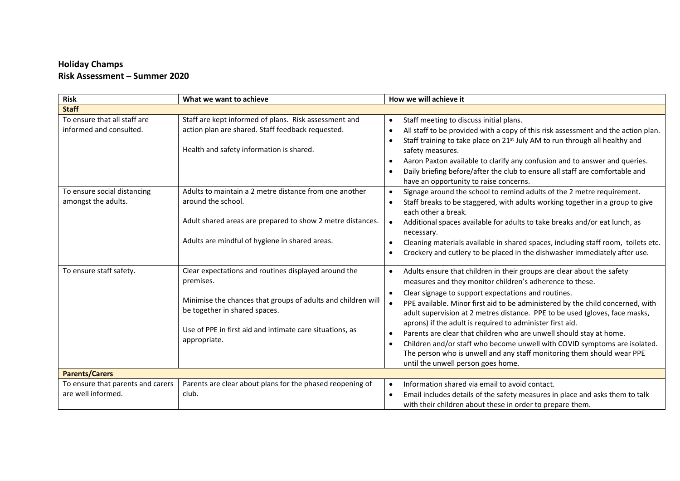## **Holiday Champs Risk Assessment – Summer 2020**

| <b>Risk</b>                                             | What we want to achieve                                                                                                                                                                                                                        | How we will achieve it                                                                                                                                                                                                                                                                                                                                                                                                                                                                                                                                                                                                                                                                      |  |  |
|---------------------------------------------------------|------------------------------------------------------------------------------------------------------------------------------------------------------------------------------------------------------------------------------------------------|---------------------------------------------------------------------------------------------------------------------------------------------------------------------------------------------------------------------------------------------------------------------------------------------------------------------------------------------------------------------------------------------------------------------------------------------------------------------------------------------------------------------------------------------------------------------------------------------------------------------------------------------------------------------------------------------|--|--|
| <b>Staff</b>                                            |                                                                                                                                                                                                                                                |                                                                                                                                                                                                                                                                                                                                                                                                                                                                                                                                                                                                                                                                                             |  |  |
| To ensure that all staff are<br>informed and consulted. | Staff are kept informed of plans. Risk assessment and<br>action plan are shared. Staff feedback requested.<br>Health and safety information is shared.                                                                                         | Staff meeting to discuss initial plans.<br>$\bullet$<br>All staff to be provided with a copy of this risk assessment and the action plan.<br>Staff training to take place on 21 <sup>st</sup> July AM to run through all healthy and<br>safety measures.<br>Aaron Paxton available to clarify any confusion and to answer and queries.<br>Daily briefing before/after the club to ensure all staff are comfortable and<br>have an opportunity to raise concerns.                                                                                                                                                                                                                            |  |  |
| To ensure social distancing<br>amongst the adults.      | Adults to maintain a 2 metre distance from one another<br>around the school.<br>Adult shared areas are prepared to show 2 metre distances.<br>Adults are mindful of hygiene in shared areas.                                                   | Signage around the school to remind adults of the 2 metre requirement.<br>Staff breaks to be staggered, with adults working together in a group to give<br>each other a break.<br>Additional spaces available for adults to take breaks and/or eat lunch, as<br>necessary.<br>Cleaning materials available in shared spaces, including staff room, toilets etc.<br>Crockery and cutlery to be placed in the dishwasher immediately after use.                                                                                                                                                                                                                                               |  |  |
| To ensure staff safety.                                 | Clear expectations and routines displayed around the<br>premises.<br>Minimise the chances that groups of adults and children will<br>be together in shared spaces.<br>Use of PPE in first aid and intimate care situations, as<br>appropriate. | Adults ensure that children in their groups are clear about the safety<br>measures and they monitor children's adherence to these.<br>Clear signage to support expectations and routines.<br>PPE available. Minor first aid to be administered by the child concerned, with<br>adult supervision at 2 metres distance. PPE to be used (gloves, face masks,<br>aprons) if the adult is required to administer first aid.<br>Parents are clear that children who are unwell should stay at home.<br>Children and/or staff who become unwell with COVID symptoms are isolated.<br>The person who is unwell and any staff monitoring them should wear PPE<br>until the unwell person goes home. |  |  |
| <b>Parents/Carers</b>                                   |                                                                                                                                                                                                                                                |                                                                                                                                                                                                                                                                                                                                                                                                                                                                                                                                                                                                                                                                                             |  |  |
| To ensure that parents and carers<br>are well informed. | Parents are clear about plans for the phased reopening of<br>club.                                                                                                                                                                             | Information shared via email to avoid contact.<br>Email includes details of the safety measures in place and asks them to talk<br>with their children about these in order to prepare them.                                                                                                                                                                                                                                                                                                                                                                                                                                                                                                 |  |  |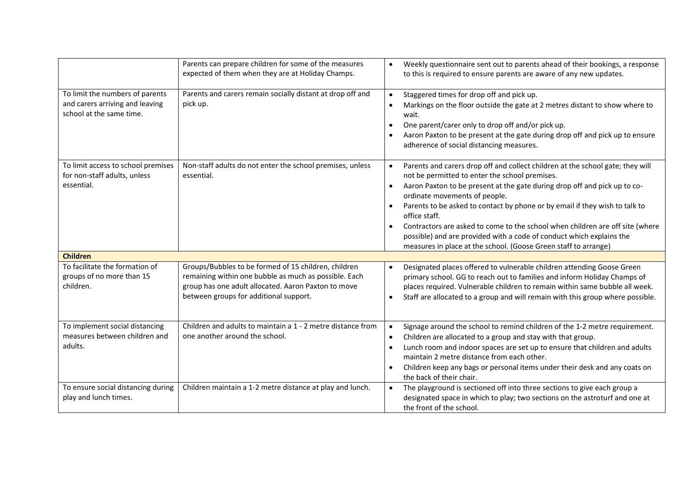|                                                                                                | Parents can prepare children for some of the measures<br>expected of them when they are at Holiday Champs.                                                                                                     | Weekly questionnaire sent out to parents ahead of their bookings, a response<br>to this is required to ensure parents are aware of any new updates.                                                                                                                                                                                                                                                                                                                                                                                                                        |
|------------------------------------------------------------------------------------------------|----------------------------------------------------------------------------------------------------------------------------------------------------------------------------------------------------------------|----------------------------------------------------------------------------------------------------------------------------------------------------------------------------------------------------------------------------------------------------------------------------------------------------------------------------------------------------------------------------------------------------------------------------------------------------------------------------------------------------------------------------------------------------------------------------|
| To limit the numbers of parents<br>and carers arriving and leaving<br>school at the same time. | Parents and carers remain socially distant at drop off and<br>pick up.                                                                                                                                         | Staggered times for drop off and pick up.<br>Markings on the floor outside the gate at 2 metres distant to show where to<br>wait.<br>One parent/carer only to drop off and/or pick up.<br>Aaron Paxton to be present at the gate during drop off and pick up to ensure<br>adherence of social distancing measures.                                                                                                                                                                                                                                                         |
| To limit access to school premises<br>for non-staff adults, unless<br>essential.               | Non-staff adults do not enter the school premises, unless<br>essential.                                                                                                                                        | Parents and carers drop off and collect children at the school gate; they will<br>not be permitted to enter the school premises.<br>Aaron Paxton to be present at the gate during drop off and pick up to co-<br>ordinate movements of people.<br>Parents to be asked to contact by phone or by email if they wish to talk to<br>office staff.<br>Contractors are asked to come to the school when children are off site (where<br>possible) and are provided with a code of conduct which explains the<br>measures in place at the school. (Goose Green staff to arrange) |
| <b>Children</b>                                                                                |                                                                                                                                                                                                                |                                                                                                                                                                                                                                                                                                                                                                                                                                                                                                                                                                            |
| To facilitate the formation of<br>groups of no more than 15<br>children.                       | Groups/Bubbles to be formed of 15 children, children<br>remaining within one bubble as much as possible. Each<br>group has one adult allocated. Aaron Paxton to move<br>between groups for additional support. | Designated places offered to vulnerable children attending Goose Green<br>primary school. GG to reach out to families and inform Holiday Champs of<br>places required. Vulnerable children to remain within same bubble all week.<br>Staff are allocated to a group and will remain with this group where possible.                                                                                                                                                                                                                                                        |
| To implement social distancing<br>measures between children and<br>adults.                     | Children and adults to maintain a 1 - 2 metre distance from<br>one another around the school.                                                                                                                  | Signage around the school to remind children of the 1-2 metre requirement.<br>Children are allocated to a group and stay with that group.<br>Lunch room and indoor spaces are set up to ensure that children and adults<br>maintain 2 metre distance from each other.<br>Children keep any bags or personal items under their desk and any coats on<br>the back of their chair.                                                                                                                                                                                            |
| To ensure social distancing during<br>play and lunch times.                                    | Children maintain a 1-2 metre distance at play and lunch.                                                                                                                                                      | The playground is sectioned off into three sections to give each group a<br>designated space in which to play; two sections on the astroturf and one at<br>the front of the school.                                                                                                                                                                                                                                                                                                                                                                                        |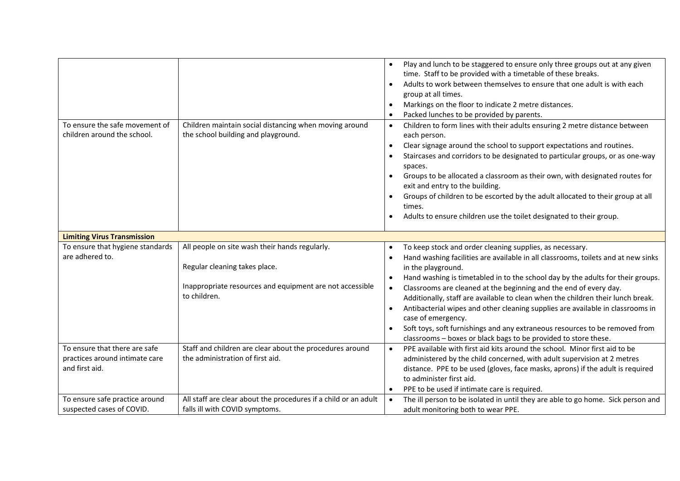|                                                                                   |                                                                                                                                                             | Play and lunch to be staggered to ensure only three groups out at any given<br>time. Staff to be provided with a timetable of these breaks.<br>Adults to work between themselves to ensure that one adult is with each<br>group at all times.<br>Markings on the floor to indicate 2 metre distances.<br>Packed lunches to be provided by parents.                                                                                                                                                                                                                             |
|-----------------------------------------------------------------------------------|-------------------------------------------------------------------------------------------------------------------------------------------------------------|--------------------------------------------------------------------------------------------------------------------------------------------------------------------------------------------------------------------------------------------------------------------------------------------------------------------------------------------------------------------------------------------------------------------------------------------------------------------------------------------------------------------------------------------------------------------------------|
| To ensure the safe movement of<br>children around the school.                     | Children maintain social distancing when moving around<br>the school building and playground.                                                               | Children to form lines with their adults ensuring 2 metre distance between<br>$\bullet$<br>each person.<br>Clear signage around the school to support expectations and routines.<br>$\bullet$<br>Staircases and corridors to be designated to particular groups, or as one-way<br>spaces.<br>Groups to be allocated a classroom as their own, with designated routes for<br>exit and entry to the building.<br>Groups of children to be escorted by the adult allocated to their group at all<br>times.<br>Adults to ensure children use the toilet designated to their group. |
| <b>Limiting Virus Transmission</b>                                                |                                                                                                                                                             |                                                                                                                                                                                                                                                                                                                                                                                                                                                                                                                                                                                |
| To ensure that hygiene standards<br>are adhered to.                               | All people on site wash their hands regularly.<br>Regular cleaning takes place.<br>Inappropriate resources and equipment are not accessible<br>to children. | To keep stock and order cleaning supplies, as necessary.<br>$\bullet$<br>Hand washing facilities are available in all classrooms, toilets and at new sinks<br>in the playground.<br>Hand washing is timetabled in to the school day by the adults for their groups.<br>Classrooms are cleaned at the beginning and the end of every day.<br>$\bullet$<br>Additionally, staff are available to clean when the children their lunch break.                                                                                                                                       |
|                                                                                   |                                                                                                                                                             | Antibacterial wipes and other cleaning supplies are available in classrooms in<br>case of emergency.<br>Soft toys, soft furnishings and any extraneous resources to be removed from<br>classrooms - boxes or black bags to be provided to store these.                                                                                                                                                                                                                                                                                                                         |
| To ensure that there are safe<br>practices around intimate care<br>and first aid. | Staff and children are clear about the procedures around<br>the administration of first aid.                                                                | PPE available with first aid kits around the school. Minor first aid to be<br>administered by the child concerned, with adult supervision at 2 metres<br>distance. PPE to be used (gloves, face masks, aprons) if the adult is required<br>to administer first aid.<br>PPE to be used if intimate care is required.                                                                                                                                                                                                                                                            |
| To ensure safe practice around<br>suspected cases of COVID.                       | All staff are clear about the procedures if a child or an adult<br>falls ill with COVID symptoms.                                                           | The ill person to be isolated in until they are able to go home. Sick person and<br>$\bullet$<br>adult monitoring both to wear PPE.                                                                                                                                                                                                                                                                                                                                                                                                                                            |